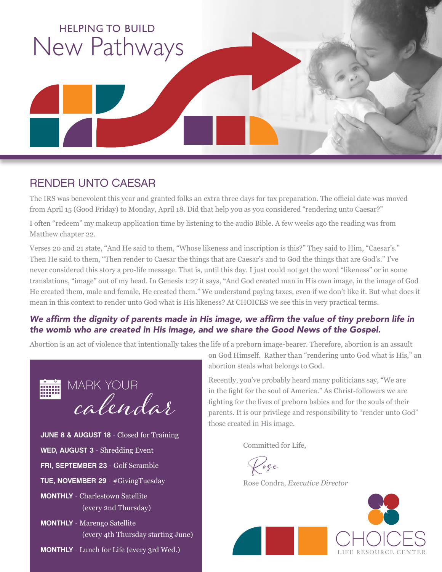

### RENDER UNTO CAESAR

The IRS was benevolent this year and granted folks an extra three days for tax preparation. The official date was moved from April 15 (Good Friday) to Monday, April 18. Did that help you as you considered "rendering unto Caesar?"

I often "redeem" my makeup application time by listening to the audio Bible. A few weeks ago the reading was from Matthew chapter 22.

Verses 20 and 21 state, "And He said to them, "Whose likeness and inscription is this?" They said to Him, "Caesar's." Then He said to them, "Then render to Caesar the things that are Caesar's and to God the things that are God's." I've never considered this story a pro-life message. That is, until this day. I just could not get the word "likeness" or in some translations, "image" out of my head. In Genesis 1:27 it says, "And God created man in His own image, in the image of God He created them, male and female, He created them." We understand paying taxes, even if we don't like it. But what does it mean in this context to render unto God what is His likeness? At CHOICES we see this in very practical terms.

#### We affirm the dignity of parents made in His image, we affirm the value of tiny preborn life in the womb who are created in His image, and we share the Good News of the Gospel.

Abortion is an act of violence that intentionally takes the life of a preborn image-bearer. Therefore, abortion is an assault



on God Himself. Rather than "rendering unto God what is His," an abortion steals what belongs to God.

Recently, you've probably heard many politicians say, "We are in the fight for the soul of America." As Christ-followers we are fighting for the lives of preborn babies and for the souls of their parents. It is our privilege and responsibility to "render unto God" those created in His image.

Committed for Life,

Rose

Rose Condra, *Executive Director*

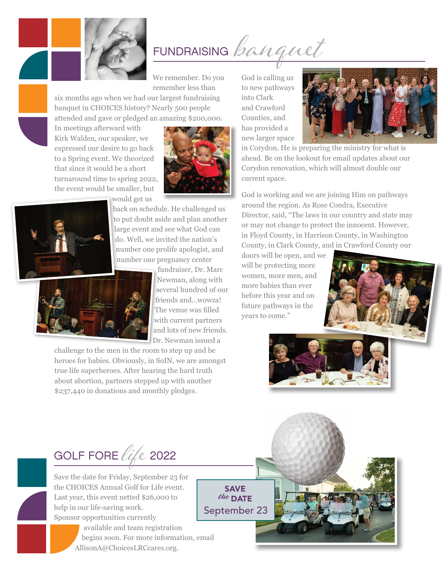

FUNDRAISING *banquet* 

We remember. Do you remember less than

six months ago when we had our largest fundraising banquet in CHOICES history? Nearly 500 people attended and gave or pledged an amazing \$200,000.

In meetings afterward with Kirk Walden, our speaker, we expressed our desire to go back to a Spring event. We theorized that since it would be a short turnaround time to spring 2022, the event would be smaller, but



would get us



back on schedule. He challenged us to put doubt aside and plan another large event and see what God can do. Well, we invited the nation's number one prolife apologist, and number one pregnancy center



challenge to the men in the room to step up and be heroes for babies. Obviously, in SoIN, we are amongst true life superheroes. After hearing the hard truth about abortion, partners stepped up with another \$237,440 in donations and monthly pledges.

God is calling us to new pathways into Clark and Crawford Counties, and has provided a new larger space



in Corydon. He is preparing the ministry for what is ahead. Be on the lookout for email updates about our Corydon renovation, which will almost double our current space.

God is working and we are joining Him on pathways around the region. As Rose Condra, Executive Director, said, "The laws in our country and state may or may not change to protect the innocent. However, in Floyd County, in Harrison County, in Washington County, in Clark County, and in Crawford County our

doors will be open, and we will be protecting more women, more men, and more babies than ever before this year and on future pathways in the years to come."







Save the date for Friday, September 23 for the CHOICES Annual Golf for Life event. Last year, this event netted \$26,000 to help in our life-saving work. Sponsor opportunities currently



SAVE the DATE September 23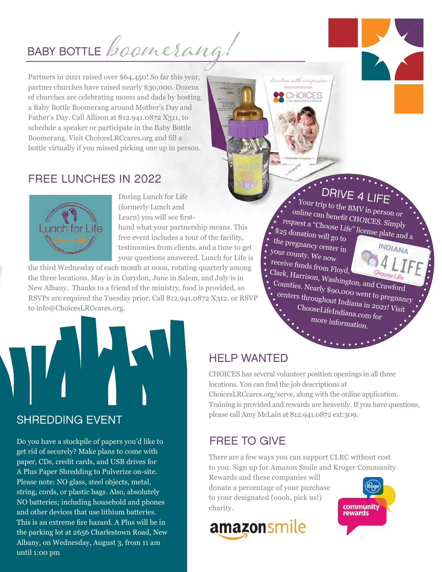# BABY BOTTLE *boomerang*

Partners in 2021 raised over \$64,450! So far this year, partner churches have raised nearly \$30,000. Dozens of churches are celebrating moms and dads by hosting a Baby Bottle Boomerang around Mother's Day and Father's Day. Call Allison at 812.941.0872 X311, to schedule a speaker or participate in the Baby Bottle Boomerang. Visit ChoicesLRCcares.org and fill a bottle virtually if you missed picking one up in person.

# FREE LUNCHES IN 2022



During Lunch for Life (formerly Lunch and Learn) you will see firsthand what your partnership means. This free event includes a tour of the facility, testimonies from clients, and a time to get your questions answered. Lunch for Life is

the third Wednesday of each month at noon, rotating quarterly among the three locations. May is in Corydon, June in Salem, and July is in New Albany. Thanks to a friend of the ministry, food is provided, so RSVPs are required the Tuesday prior. Call 812.941.0872 X312, or RSVP to info@ChoicesLRCcares.org.

DRIVE 4 LIFE

 Your trip to the BMV in person or online can benefit CHOICES. Simply request a "Choose Life" license plate and a<br>25 donation will go to<br><sup>2</sup> pregnancy center in \$25 donation will go to

 the pregnancy center in your county. We now receive funds from Floyd,

lisection with compassio

**CHOICES** 

 Clark, Harrison, Washington, and Crawford Counties. Nearly \$90,000 went to pregnancy centers throughout Indiana in 2021! Visit ChooseLifeIndiana.com for more information.



Do you have a stockpile of papers you'd like to get rid of securely? Make plans to come with paper, CDs, credit cards, and USB drives for A Plus Paper Shredding to Pulverize on-site. Please note: NO glass, steel objects, metal, string, cords, or plastic bags. Also, absolutely NO batteries; including household and phones and other devices that use lithium batteries. This is an extreme fire hazard. A Plus will be in the parking lot at 2656 Charlestown Road, New Albany, on Wednesday, August 3, from 11 am until 1:00 pm

### HELP WANTED

CHOICES has several volunteer position openings in all three locations. You can find the job descriptions at ChoicesLRCcares.org/serve, along with the online application. Training is provided and rewards are heavenly. If you have questions, please call Amy McLain at 812.941.0872 ext:309.

# FREE TO GIVE

There are a few ways you can support CLRC without cost to you. Sign up for Amazon Smile and Kroger Community

Rewards and these companies will donate a percentage of your purchase to your designated (oooh, pick us!) charity.